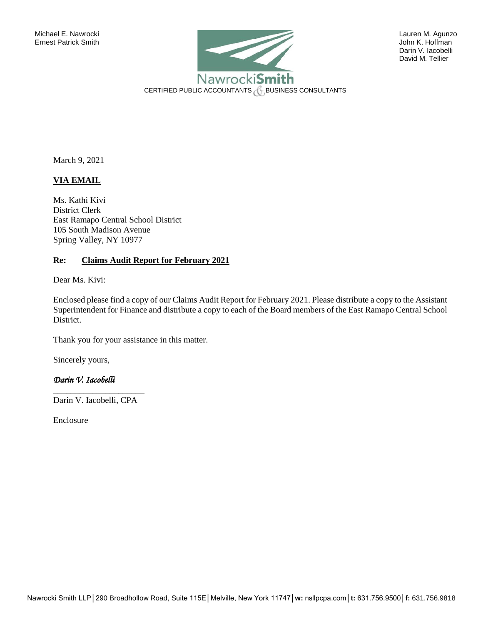

 Darin V. Iacobelli David M. Tellier

March 9, 2021

## **VIA EMAIL**

Ms. Kathi Kivi District Clerk East Ramapo Central School District 105 South Madison Avenue Spring Valley, NY 10977

## **Re: Claims Audit Report for February 2021**

Dear Ms. Kivi:

Enclosed please find a copy of our Claims Audit Report for February 2021. Please distribute a copy to the Assistant Superintendent for Finance and distribute a copy to each of the Board members of the East Ramapo Central School District.

Thank you for your assistance in this matter.

Sincerely yours,

## *Darin V. Iacobelli*

\_\_\_\_\_\_\_\_\_\_\_\_\_\_\_\_\_\_\_\_\_ Darin V. Iacobelli, CPA

Enclosure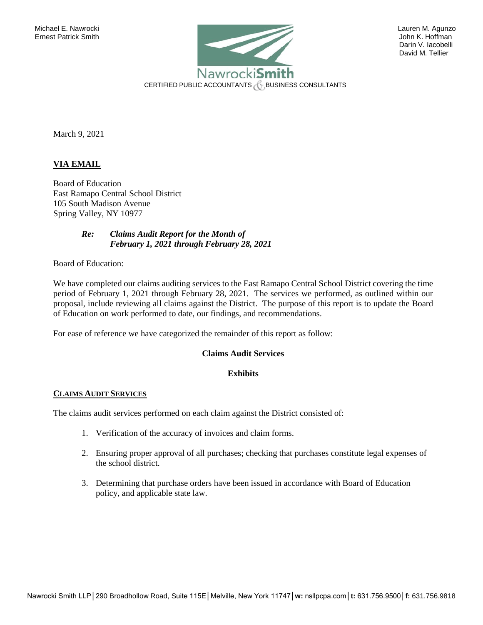

 Darin V. Iacobelli David M. Tellier

March 9, 2021

## **VIA EMAIL**

Board of Education East Ramapo Central School District 105 South Madison Avenue Spring Valley, NY 10977

> *Re: Claims Audit Report for the Month of February 1, 2021 through February 28, 2021*

Board of Education:

We have completed our claims auditing services to the East Ramapo Central School District covering the time period of February 1, 2021 through February 28, 2021. The services we performed, as outlined within our proposal, include reviewing all claims against the District. The purpose of this report is to update the Board of Education on work performed to date, our findings, and recommendations.

For ease of reference we have categorized the remainder of this report as follow:

### **Claims Audit Services**

## **Exhibits**

#### **CLAIMS AUDIT SERVICES**

The claims audit services performed on each claim against the District consisted of:

- 1. Verification of the accuracy of invoices and claim forms.
- 2. Ensuring proper approval of all purchases; checking that purchases constitute legal expenses of the school district.
- 3. Determining that purchase orders have been issued in accordance with Board of Education policy, and applicable state law.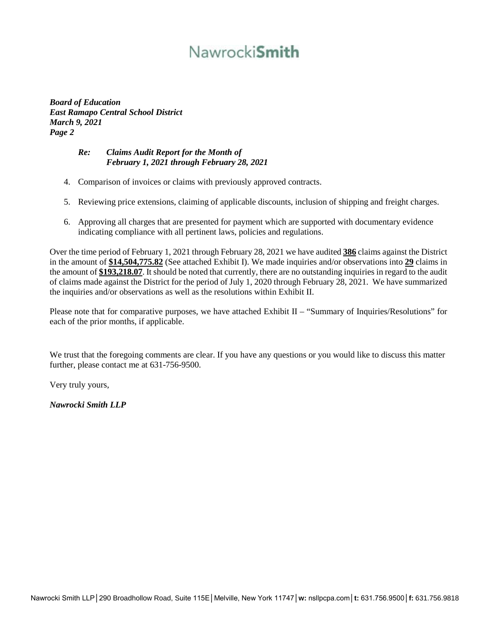# Nawrocki**Smith**

*Board of Education East Ramapo Central School District March 9, 2021 Page 2*

# *Re: Claims Audit Report for the Month of February 1, 2021 through February 28, 2021*

- 4. Comparison of invoices or claims with previously approved contracts.
- 5. Reviewing price extensions, claiming of applicable discounts, inclusion of shipping and freight charges.
- 6. Approving all charges that are presented for payment which are supported with documentary evidence indicating compliance with all pertinent laws, policies and regulations.

Over the time period of February 1, 2021 through February 28, 2021 we have audited **386** claims against the District in the amount of **\$14,504,775.82** (See attached Exhibit I). We made inquiries and/or observations into **29** claims in the amount of **\$193,218.07**. It should be noted that currently, there are no outstanding inquiries in regard to the audit of claims made against the District for the period of July 1, 2020 through February 28, 2021. We have summarized the inquiries and/or observations as well as the resolutions within Exhibit II.

Please note that for comparative purposes, we have attached Exhibit II – "Summary of Inquiries/Resolutions" for each of the prior months, if applicable.

We trust that the foregoing comments are clear. If you have any questions or you would like to discuss this matter further, please contact me at 631-756-9500.

Very truly yours,

*Nawrocki Smith LLP*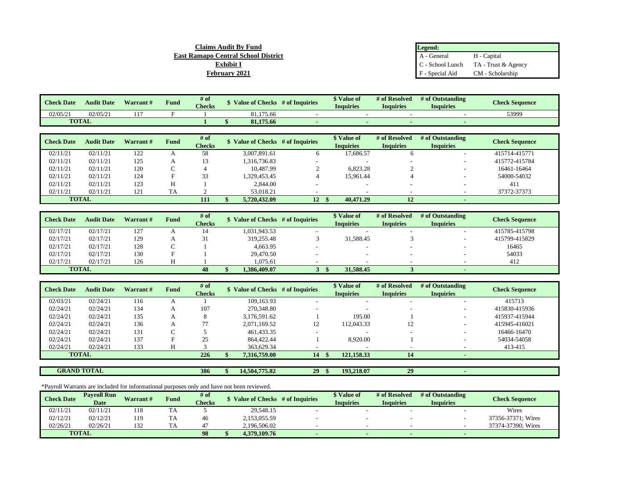| Legend:          |                     |
|------------------|---------------------|
| A - General      | H - Capital         |
| C - School Lunch | TA - Trust & Agency |
| F - Special Aid  | CM - Scholarship    |

| <b>Check Date</b> | <b>Audit Date</b> | Warrant $#$ | Fund | $#$ of<br><b>Checks</b> | <b>Value of Checks</b> | # of Inquiries | <sup><i>*</i></sup> Value of<br>Inquiries | # of Resolved<br>Inauiries | # of Outstanding<br><b>Inquiries</b> | <b>Check Sequence</b> |
|-------------------|-------------------|-------------|------|-------------------------|------------------------|----------------|-------------------------------------------|----------------------------|--------------------------------------|-----------------------|
| 02/05/2           | 02/05/21          | $\sim$      |      |                         | 81.175.66              |                |                                           |                            |                                      | 53999                 |
| <b>TOTAL</b>      |                   |             |      |                         | 81,175.66              |                |                                           |                            |                                      |                       |

**Claims Audit By Fund East Ramapo Central School District Exhibit I February 2021**

| <b>Check Date</b> | <b>Audit Date</b> | <b>Warrant#</b> | <b>Fund</b> | # of<br><b>Checks</b> | \$ Value of Checks # of Inquiries |       | \$ Value of<br><b>Inquiries</b> | # of Resolved<br><b>Inquiries</b> | # of Outstanding<br><b>Inquiries</b> | <b>Check Sequence</b> |
|-------------------|-------------------|-----------------|-------------|-----------------------|-----------------------------------|-------|---------------------------------|-----------------------------------|--------------------------------------|-----------------------|
| 02/11/21          | 02/11/21          | 122             |             | 58                    | 3.007.891.61                      |       | 17,686.57                       |                                   | -                                    | 415714-415771         |
| 02/11/21          | 02/11/21          | 125             |             |                       | 1,316,736.83                      |       |                                 | $\overline{\phantom{a}}$          |                                      | 415772-415784         |
| 02/11/21          | 02/11/21          | 120             |             |                       | 10.487.99                         |       | 6,823.28                        |                                   |                                      | 16461-16464           |
| 02/11/21          | 02/11/21          | 124             |             | 33                    | 1,329,453.45                      |       | 15.961.44                       |                                   |                                      | 54000-54032           |
| 02/11/21          | 02/11/21          | 123             | н           |                       | 2,844.00                          |       | $\overline{\phantom{a}}$        | $\overline{\phantom{a}}$          | -                                    | 411                   |
| 02/11/21          | 02/11/21          | 121             | TA          |                       | 53,018.21                         |       |                                 |                                   |                                      | 37372-37373           |
| <b>TOTAL</b>      |                   |                 |             | 111                   | 5.720.432.09                      | 12 \$ | 40,471.29                       | 12                                |                                      |                       |

| <b>Check Date</b> | <b>Audit Date</b> | <b>Warrant#</b> | <b>Fund</b> | $#$ of        | Value of Checks # of Inquiries | Value of         | # of Resolved    | # of Outstanding | <b>Check Sequence</b> |
|-------------------|-------------------|-----------------|-------------|---------------|--------------------------------|------------------|------------------|------------------|-----------------------|
|                   |                   |                 |             | <b>Checks</b> |                                | <b>Inquiries</b> | <b>Inquiries</b> | Inquiries        |                       |
| 02/17/21          | 02/17/21          | 127             |             |               | 1,031,943.53                   |                  |                  |                  | 415785-415798         |
| 02/17/21          | 02/17/21          | 129             |             | ┙┚            | 319.255.48                     | 31,588.45        |                  |                  | 415799-415829         |
| 02/17/21          | 02/17/21          | 128             |             |               | 4,663.95                       |                  |                  |                  | 16465                 |
| 02/17/21          | 02/17/21          | 130             |             |               | 29,470.50                      |                  |                  |                  | 54033                 |
| 02/17/21          | 02/17/21          | 126             |             |               | 1.075.61                       |                  |                  |                  | 412                   |
| <b>TOTAL</b>      |                   |                 |             | 48            | 1,386,409.07                   | 31,588.45        |                  |                  |                       |

| <b>Check Date</b> | <b>Audit Date</b>  | Warrant# | Fund       | # of          |                                   |    | \$ Value of      | # of Resolved    | # of Outstanding         |                       |
|-------------------|--------------------|----------|------------|---------------|-----------------------------------|----|------------------|------------------|--------------------------|-----------------------|
|                   |                    |          |            | <b>Checks</b> | \$ Value of Checks # of Inquiries |    | <b>Inquiries</b> | <b>Inquiries</b> | <b>Inquiries</b>         | <b>Check Sequence</b> |
| 02/03/21          | 02/24/21           | 116      |            |               | 109.163.93                        |    |                  | -                |                          | 415713                |
| 02/24/21          | 02/24/21           | 134      |            | 107           | 270,348.80                        |    |                  | -                | $\overline{\phantom{a}}$ | 415830-415936         |
| 02/24/21          | 02/24/21           | 135      |            | Õ.            | 3,176,591.62                      |    | 195.00           |                  |                          | 415937-415944         |
| 02/24/21          | 02/24/21           | 136      |            |               | 2.071.169.52                      | 12 | 112.043.33       | 12               |                          | 415945-416021         |
| 02/24/21          | 02/24/21           | 131      | $\sqrt{2}$ |               | 461,433.35                        |    |                  | ۰                |                          | 16466-16470           |
| 02/24/21          | 02/24/21           | 137      | Е          | 25            | 864,422.44                        |    | 8,920.00         |                  |                          | 54034-54058           |
| 02/24/21          | 02/24/21           | 133      |            |               | 363,629.34                        |    |                  |                  |                          | 413-415               |
|                   | <b>TOTAL</b>       |          |            | 226           | 7,316,759.00                      | 14 | 121,158.33       | 14               |                          |                       |
|                   |                    |          |            |               |                                   |    |                  |                  |                          |                       |
|                   | <b>GRAND TOTAL</b> |          |            | 386           | 14.504.775.82                     | 29 | 193.218.07       | 29               |                          |                       |

\*Payroll Warrants are included for informational purposes only and have not been reviewed.

| <b>Check Date</b> | <b>Pavroll Run</b> | Warrant# | Fund | # of          | <b>Value of Checks</b> | # of Inquiries | \$ Value of      | # of Resolved | # of Outstanding | <b>Check Sequence</b> |
|-------------------|--------------------|----------|------|---------------|------------------------|----------------|------------------|---------------|------------------|-----------------------|
|                   | <b>Date</b>        |          |      | <b>Checks</b> |                        |                | <b>Inquiries</b> | Inauiries     | <b>Inquiries</b> |                       |
| 02/11/21          | 02/11/21           | 118      | ΙA   |               | 29,548.15              |                |                  |               |                  | Wires                 |
| 02/12/21          | 02/12/21           | 119      | IΑ   | 46            | 2,153,055.59           |                |                  |               |                  | 37356-37371; Wires    |
| 02/26/21          | 02/26/21           | 132      |      |               | 2.196.506.02           |                |                  |               |                  | 37374-37390: Wires    |
| <b>TOTAL</b>      |                    |          |      | 98            | 4.379.109.76           |                | . .              |               |                  |                       |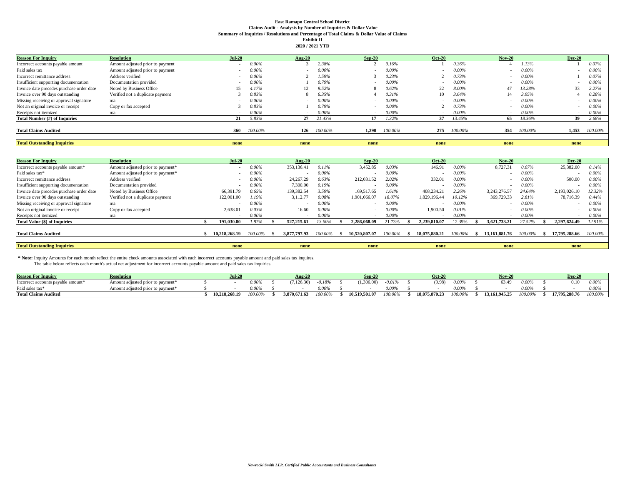#### **East Ramapo Central School District Claims Audit - Analysis by Number of Inquiries & Dollar Value Summary of Inquiries / Resolutions and Percentage of Total Claims & Dollar Value of Claims Exhibit II**

|  | 2020 / 2021 YTD |  |
|--|-----------------|--|
|--|-----------------|--|

| <b>Reason For Inquiry</b>                 | <b>Resolution</b>                | $Jul-20$ |          | <b>Aug-20</b> |          | $Sep-20$ |          | <b>Oct-20</b> |         | <b>Nov-20</b> |          | <b>Dec-20</b>            |          |
|-------------------------------------------|----------------------------------|----------|----------|---------------|----------|----------|----------|---------------|---------|---------------|----------|--------------------------|----------|
| Incorrect accounts payable amount         | Amount adjusted prior to payment |          | $0.00\%$ |               | 2.38%    |          | 0.16%    |               | 0.36%   |               | 1.13%    |                          | 0.07%    |
| Paid sales tax                            | Amount adjusted prior to payment |          | 0.00%    |               | $0.00\%$ |          | $0.00\%$ |               | 0.00%   |               | $0.00\%$ | $\overline{\phantom{a}}$ | $0.00\%$ |
| Incorrect remittance address              | Address verified                 |          | 0.00%    |               | 1.59%    |          | 0.23%    |               | 0.73%   |               | 0.00%    |                          | 0.07%    |
| Insufficient supporting documentation     | Documentation provided           |          | 0.00%    |               | 0.79%    |          | 0.00%    |               | 0.00%   |               | 0.00%    |                          | $0.00\%$ |
| Invoice date precedes purchase order date | Noted by Business Office         | 15       | 4.17%    |               | 9.52%    |          | 0.62%    | 22            | 8.00%   | 47            | 13.28%   | 33                       | 2.27%    |
| Invoice over 90 days outstanding          | Verified not a duplicate payment |          | 0.83%    |               | 6.35%    |          | 0.31%    | 10            | 3.64%   |               | 3.95%    |                          | 0.28%    |
| Missing receiving or approval signature   | n/a                              |          | 0.00%    |               | $0.00\%$ |          | $0.00\%$ |               | 0.00%   |               | $0.00\%$ | $\sim$                   | $0.00\%$ |
| Not an original invoice or receipt        | Copy or fax accepted             |          | 0.83%    |               | 0.79%    |          | $0.00\%$ |               | 0.73%   |               | 0.00%    | $\sim$                   | 0.00%    |
| Receipts not itemized                     | n/a                              |          | 0.00%    |               | $0.00\%$ | -        | $0.00\%$ | $\sim$        | 0.00%   | $\sim$        | $0.00\%$ | $\sim$                   | $0.00\%$ |
| Total Number (#) of Inquiries             |                                  | 21       | 5.83%    | 27            | 21.43%   | 17       | 1.32%    | 37            | 13.45%  | 65            | 18.36%   | 39                       | 2.68%    |
|                                           |                                  |          |          |               |          |          |          |               |         |               |          |                          |          |
| <b>Total Claims Audited</b>               |                                  | 360      | 100.00%  | 126           | 100.00%  | 1.290    | 100.00%  | 275           | 100.00% | 354           | 100.00%  | 1.453                    | 100.00%  |
|                                           |                                  |          |          |               |          |          |          |               |         |               |          |                          |          |
| <b>Total Outstanding Inquiries</b>        |                                  | none     |          | none          |          | none     |          | none          |         | none          |          | none                     |          |

| <b>Reason For Inquiry</b>                 | <b>Resolution</b>                 | Jul-20        |          | Aug- $20$    |          | $Sep-20$                 |          | <b>Oct-20</b> |          | <b>Nov-20</b> |         |              | <b>Dec-20</b> |          |
|-------------------------------------------|-----------------------------------|---------------|----------|--------------|----------|--------------------------|----------|---------------|----------|---------------|---------|--------------|---------------|----------|
| Incorrect accounts payable amount*        | Amount adjusted prior to payment* |               | 0.00%    | 353,136.41   | 9.11%    | 3,452.85                 | $0.03\%$ | 146.91        | $0.00\%$ | 8,727.31      | 0.07%   |              | 25,382.00     | 0.14%    |
| Paid sales tax*                           | Amount adjusted prior to payment* |               | $0.00\%$ |              | $0.00\%$ |                          | $0.00\%$ |               | 0.00%    |               | 0.00%   |              |               | 0.00%    |
| Incorrect remittance address              | Address verified                  |               | $0.00\%$ | 24.267.29    | 0.63%    | 212,031.52               | 2.02%    | 332.0         | 0.00%    |               | 0.00%   |              | 500.00        | 0.00%    |
| Insufficient supporting documentation     | Documentation provided            |               | $0.00\%$ | 7.300.00     | 0.19%    |                          | $0.00\%$ |               | 0.00%    |               | 0.00%   |              |               | 0.00%    |
| Invoice date precedes purchase order date | Noted by Business Office          | 66,391.79     | 0.65%    | 139,382.54   | 3.59%    | 169.517.65               | 1.61%    | 408.234.2     | 2.26%    | 3.243.276.57  | 24.64%  |              | 2.193.026.10  | 12.32%   |
| Invoice over 90 days outstanding          | Verified not a duplicate payment  | 122,001.00    | 1.19%    | 3,112.77     | 0.08%    | 1.901.066.07             | 18.07%   | 1.829.196.44  | 10.12%   | 369,729.33    | 2.81%   |              | 78,716.39     | 0.44%    |
| Missing receiving or approval signature   | n/a                               |               | 0.00%    | $\sim$       | 0.00%    | $\overline{\phantom{a}}$ | $0.00\%$ |               | 0.00%    |               | 0.00%   |              | $\sim$        | 0.00%    |
| Not an original invoice or receipt        | Copy or fax accepted              | 2.638.01      | 0.03%    | 16.60        | 0.00%    |                          | $0.00\%$ | 1.900.50      | 0.01%    |               | 0.00%   |              |               | 0.00%    |
| Receipts not itemized                     | n/a                               |               | $0.00\%$ |              | $0.00\%$ |                          | $0.00\%$ |               | 0.00%    | $\sim$        | 0.00%   |              |               | $0.00\%$ |
| <b>Total Value (\$) of Inquiries</b>      |                                   | 191.030.80    | 1.87%    | 527,215.61   | 13.60%   | 2,286,068.09             | 21.73%   | 2.239.810.0   | 2.39%    | 3.621.733.21  | 27.52%  |              | 2.297.624.49  | 12.91%   |
| <b>Total Claims Audited</b>               |                                   | 10.218.268.19 | 100.00%  | 3,877,797.93 | 100.00%  | 10.520.807.07            | 100.00%  | 18.075.880.21 | 100.00%  | 13.161.881.76 | 100.00% | $\mathbf{r}$ | 17.795.288.66 | 100.00%  |
|                                           |                                   |               |          |              |          |                          |          |               |          |               |         |              |               |          |
| <b>Total Outstanding Inquiries</b>        |                                   | none          |          | none         |          | none                     |          | none          |          | none          |         |              | none          |          |

 **\* Note:** Inquiry Amounts for each month reflect the entire check amounts associated with each incorrect accounts payable amount and paid sales tax inquires.

The table below reflects each month's actual net adjustment for incorrect accounts payable amount and paid sales tax inquiries.

| <b>Reason For Inquir</b>                   | <b>Resolution</b>                        | $Jul-20$   |                  | $\sim 20$    |         | Sep-2         |          | <b>Oct-20</b> |         | <b>Nov-20</b> |         | Dec-20        |          |
|--------------------------------------------|------------------------------------------|------------|------------------|--------------|---------|---------------|----------|---------------|---------|---------------|---------|---------------|----------|
| ts payable amount*<br>Incorrect accounts p | t adjusted prior to payment <sup>3</sup> |            | 0.00%            | ,126.30)     | 0.18%   | .306.001      | $-0.01%$ | (9.98)        | $.00\%$ |               | 0.009   |               | $0.00\%$ |
| Paid sales tax <sup>3</sup>                | t adjusted prior to payment <sup>3</sup> |            | 0.00%            |              | 0.00%   |               | $0.00\%$ |               | .00°    |               | 0.00%   |               | 0.00%    |
| <b>Total Claims Audited</b>                |                                          | 218.268.19 | $100.00^{\circ}$ | 3.870.671.63 | 100.00% | 10.519.501.07 | 100.00%  | 18,075,870.23 | 100.00% | 3.161.945.25  | 100.00% | 17.795.288.76 | 100.00%  |